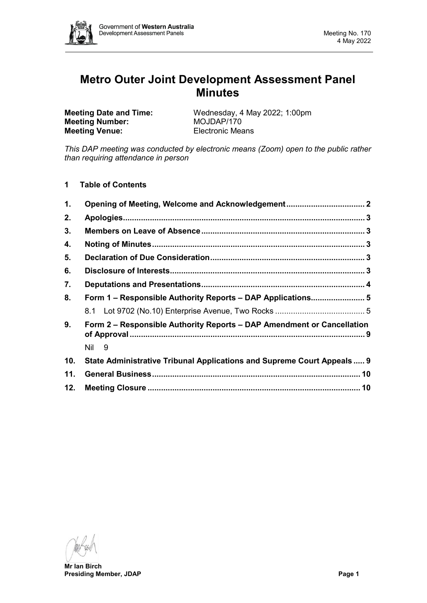

# **Metro Outer Joint Development Assessment Panel Minutes**

**Meeting Number: Meeting Venue:** Electronic Means

**Meeting Date and Time:** Wednesday, 4 May 2022; 1:00pm<br>**Meeting Number:** MOJDAP/170

*This DAP meeting was conducted by electronic means (Zoom) open to the public rather than requiring attendance in person*

**1 Table of Contents**

| $\mathbf 1$ .                                                                | Opening of Meeting, Welcome and Acknowledgement 2                       |  |  |  |
|------------------------------------------------------------------------------|-------------------------------------------------------------------------|--|--|--|
| 2.                                                                           |                                                                         |  |  |  |
| 3.                                                                           |                                                                         |  |  |  |
| 4.                                                                           |                                                                         |  |  |  |
| 5.                                                                           |                                                                         |  |  |  |
| 6.                                                                           |                                                                         |  |  |  |
| 7.                                                                           |                                                                         |  |  |  |
| 8.                                                                           | Form 1 - Responsible Authority Reports - DAP Applications 5             |  |  |  |
|                                                                              |                                                                         |  |  |  |
| 9.<br>Form 2 – Responsible Authority Reports – DAP Amendment or Cancellation |                                                                         |  |  |  |
|                                                                              | Nil 9                                                                   |  |  |  |
| 10.                                                                          | State Administrative Tribunal Applications and Supreme Court Appeals  9 |  |  |  |
| 11.                                                                          |                                                                         |  |  |  |
| 12.                                                                          |                                                                         |  |  |  |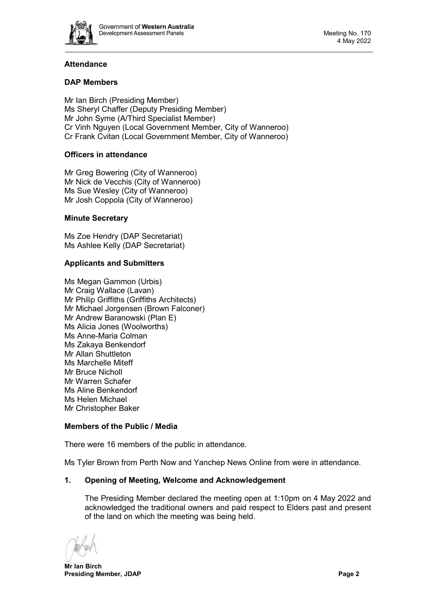

# **Attendance**

# **DAP Members**

Mr Ian Birch (Presiding Member) Ms Sheryl Chaffer (Deputy Presiding Member) Mr John Syme (A/Third Specialist Member) Cr Vinh Nguyen (Local Government Member, City of Wanneroo) Cr Frank Cvitan (Local Government Member, City of Wanneroo)

# **Officers in attendance**

Mr Greg Bowering (City of Wanneroo) Mr Nick de Vecchis (City of Wanneroo) Ms Sue Wesley (City of Wanneroo) Mr Josh Coppola (City of Wanneroo)

# **Minute Secretary**

Ms Zoe Hendry (DAP Secretariat) Ms Ashlee Kelly (DAP Secretariat)

# **Applicants and Submitters**

Ms Megan Gammon (Urbis) Mr Craig Wallace (Lavan) Mr Philip Griffiths (Griffiths Architects) Mr Michael Jorgensen (Brown Falconer) Mr Andrew Baranowski (Plan E) Ms Alicia Jones (Woolworths) Ms Anne-Maria Colman Ms Zakaya Benkendorf Mr Allan Shuttleton Ms Marchelle Miteff Mr Bruce Nicholl Mr Warren Schafer Ms Aline Benkendorf Ms Helen Michael Mr Christopher Baker

# **Members of the Public / Media**

There were 16 members of the public in attendance.

<span id="page-1-0"></span>Ms Tyler Brown from Perth Now and Yanchep News Online from were in attendance.

# **1. Opening of Meeting, Welcome and Acknowledgement**

The Presiding Member declared the meeting open at 1:10pm on 4 May 2022 and acknowledged the traditional owners and paid respect to Elders past and present of the land on which the meeting was being held.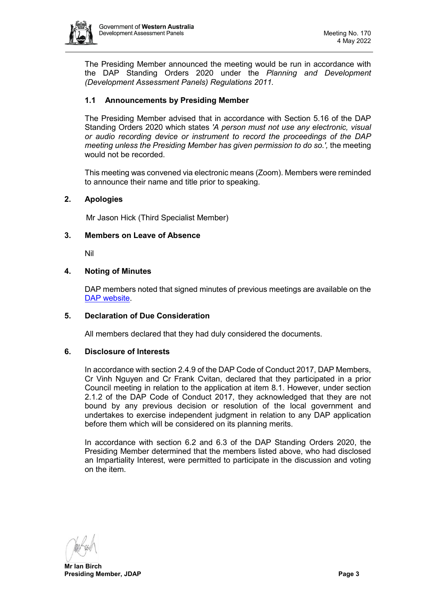

The Presiding Member announced the meeting would be run in accordance with the DAP Standing Orders 2020 under the *Planning and Development (Development Assessment Panels) Regulations 2011.*

# **1.1 Announcements by Presiding Member**

The Presiding Member advised that in accordance with Section 5.16 of the DAP Standing Orders 2020 which states *'A person must not use any electronic, visual or audio recording device or instrument to record the proceedings of the DAP meeting unless the Presiding Member has given permission to do so.',* the meeting would not be recorded.

This meeting was convened via electronic means (Zoom). Members were reminded to announce their name and title prior to speaking.

# <span id="page-2-0"></span>**2. Apologies**

Mr Jason Hick (Third Specialist Member)

#### <span id="page-2-1"></span>**3. Members on Leave of Absence**

Nil

#### <span id="page-2-2"></span>**4. Noting of Minutes**

DAP members noted that signed minutes of previous meetings are available on the [DAP website.](https://www.dplh.wa.gov.au/about/development-assessment-panels/daps-agendas-and-minutes)

#### <span id="page-2-3"></span>**5. Declaration of Due Consideration**

All members declared that they had duly considered the documents.

#### <span id="page-2-4"></span>**6. Disclosure of Interests**

In accordance with section 2.4.9 of the DAP Code of Conduct 2017, DAP Members, Cr Vinh Nguyen and Cr Frank Cvitan, declared that they participated in a prior Council meeting in relation to the application at item 8.1. However, under section 2.1.2 of the DAP Code of Conduct 2017, they acknowledged that they are not bound by any previous decision or resolution of the local government and undertakes to exercise independent judgment in relation to any DAP application before them which will be considered on its planning merits.

In accordance with section 6.2 and 6.3 of the DAP Standing Orders 2020, the Presiding Member determined that the members listed above, who had disclosed an Impartiality Interest, were permitted to participate in the discussion and voting on the item.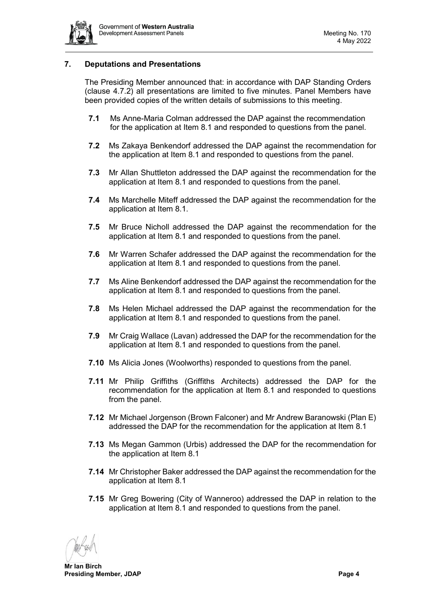

# <span id="page-3-0"></span>**7. Deputations and Presentations**

The Presiding Member announced that: in accordance with DAP Standing Orders (clause 4.7.2) all presentations are limited to five minutes. Panel Members have been provided copies of the written details of submissions to this meeting.

- **7.1** Ms Anne-Maria Colman addressed the DAP against the recommendation for the application at Item 8.1 and responded to questions from the panel.
- **7.2** Ms Zakaya Benkendorf addressed the DAP against the recommendation for the application at Item 8.1 and responded to questions from the panel.
- **7.3** Mr Allan Shuttleton addressed the DAP against the recommendation for the application at Item 8.1 and responded to questions from the panel.
- **7.4** Ms Marchelle Miteff addressed the DAP against the recommendation for the application at Item 8.1.
- **7.5** Mr Bruce Nicholl addressed the DAP against the recommendation for the application at Item 8.1 and responded to questions from the panel.
- **7.6** Mr Warren Schafer addressed the DAP against the recommendation for the application at Item 8.1 and responded to questions from the panel.
- **7.7** Ms Aline Benkendorf addressed the DAP against the recommendation for the application at Item 8.1 and responded to questions from the panel.
- **7.8** Ms Helen Michael addressed the DAP against the recommendation for the application at Item 8.1 and responded to questions from the panel.
- **7.9** Mr Craig Wallace (Lavan) addressed the DAP for the recommendation for the application at Item 8.1 and responded to questions from the panel.
- **7.10** Ms Alicia Jones (Woolworths) responded to questions from the panel.
- **7.11** Mr Philip Griffiths (Griffiths Architects) addressed the DAP for the recommendation for the application at Item 8.1 and responded to questions from the panel.
- **7.12** Mr Michael Jorgenson (Brown Falconer) and Mr Andrew Baranowski (Plan E) addressed the DAP for the recommendation for the application at Item 8.1
- **7.13** Ms Megan Gammon (Urbis) addressed the DAP for the recommendation for the application at Item 8.1
- **7.14** Mr Christopher Baker addressed the DAP against the recommendation for the application at Item 8.1
- **7.15** Mr Greg Bowering (City of Wanneroo) addressed the DAP in relation to the application at Item 8.1 and responded to questions from the panel.

**Mr Ian Birch Presiding Member, JDAP Page 4**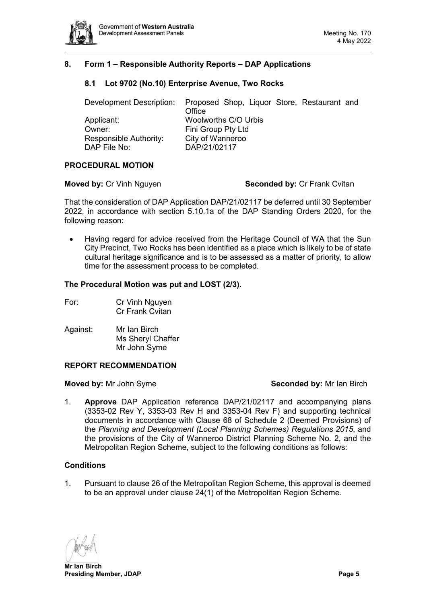

# <span id="page-4-1"></span><span id="page-4-0"></span>**8. Form 1 – Responsible Authority Reports – DAP Applications**

# **8.1 Lot 9702 (No.10) Enterprise Avenue, Two Rocks**

| Development Description: | Proposed Shop, Liquor Store, Restaurant and<br>Office |
|--------------------------|-------------------------------------------------------|
| Applicant:               | Woolworths C/O Urbis                                  |
| Owner:                   | Fini Group Pty Ltd                                    |
| Responsible Authority:   | City of Wanneroo                                      |
| DAP File No:             | DAP/21/02117                                          |
|                          |                                                       |

#### **PROCEDURAL MOTION**

#### **Moved by: Cr Vinh Nguyen <b>Seconded by: Cr Frank Cvitan**

That the consideration of DAP Application DAP/21/02117 be deferred until 30 September 2022, in accordance with section 5.10.1a of the DAP Standing Orders 2020, for the following reason:

• Having regard for advice received from the Heritage Council of WA that the Sun City Precinct, Two Rocks has been identified as a place which is likely to be of state cultural heritage significance and is to be assessed as a matter of priority, to allow time for the assessment process to be completed.

#### **The Procedural Motion was put and LOST (2/3).**

| For: | Cr Vinh Nguyen         |
|------|------------------------|
|      | <b>Cr Frank Cvitan</b> |

Against: Mr Ian Birch Ms Sheryl Chaffer Mr John Syme

#### **REPORT RECOMMENDATION**

#### **Moved by:** Mr John Syme **Seconded by:** Mr Ian Birch

1. **Approve** DAP Application reference DAP/21/02117 and accompanying plans (3353-02 Rev Y, 3353-03 Rev H and 3353-04 Rev F) and supporting technical documents in accordance with Clause 68 of Schedule 2 (Deemed Provisions) of the *Planning and Development (Local Planning Schemes) Regulations 2015*, and the provisions of the City of Wanneroo District Planning Scheme No. 2, and the Metropolitan Region Scheme, subject to the following conditions as follows:

#### **Conditions**

1. Pursuant to clause 26 of the Metropolitan Region Scheme, this approval is deemed to be an approval under clause 24(1) of the Metropolitan Region Scheme.

**Mr Ian Birch Presiding Member, JDAP Page 5**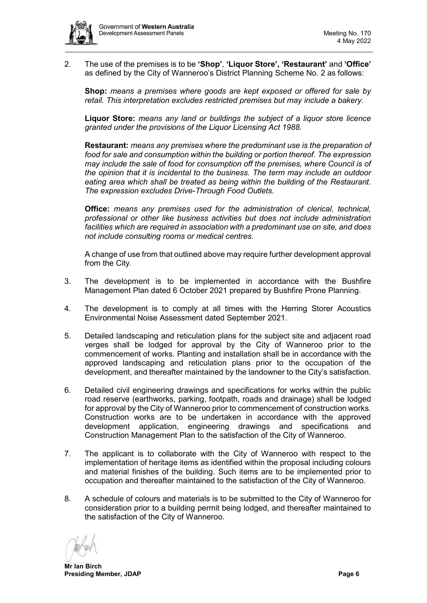2. The use of the premises is to be **'Shop'**, **'Liquor Store', 'Restaurant'** and **'Office'** as defined by the City of Wanneroo's District Planning Scheme No. 2 as follows:

**Shop:** *means a premises where goods are kept exposed or offered for sale by retail. This interpretation excludes restricted premises but may include a bakery.*

**Liquor Store:** *means any land or buildings the subject of a liquor store licence granted under the provisions of the Liquor Licensing Act 1988.*

**Restaurant:** *means any premises where the predominant use is the preparation of food for sale and consumption within the building or portion thereof. The expression may include the sale of food for consumption off the premises, where Council is of the opinion that it is incidental to the business. The term may include an outdoor eating area which shall be treated as being within the building of the Restaurant. The expression excludes Drive-Through Food Outlets.* 

**Office:** *means any premises used for the administration of clerical, technical, professional or other like business activities but does not include administration facilities which are required in association with a predominant use on site, and does not include consulting rooms or medical centres.* 

A change of use from that outlined above may require further development approval from the City.

- 3. The development is to be implemented in accordance with the Bushfire Management Plan dated 6 October 2021 prepared by Bushfire Prone Planning.
- 4. The development is to comply at all times with the Herring Storer Acoustics Environmental Noise Assessment dated September 2021.
- 5. Detailed landscaping and reticulation plans for the subject site and adjacent road verges shall be lodged for approval by the City of Wanneroo prior to the commencement of works. Planting and installation shall be in accordance with the approved landscaping and reticulation plans prior to the occupation of the development, and thereafter maintained by the landowner to the City's satisfaction.
- 6. Detailed civil engineering drawings and specifications for works within the public road reserve (earthworks, parking, footpath, roads and drainage) shall be lodged for approval by the City of Wanneroo prior to commencement of construction works. Construction works are to be undertaken in accordance with the approved development application, engineering drawings and specifications and Construction Management Plan to the satisfaction of the City of Wanneroo.
- 7. The applicant is to collaborate with the City of Wanneroo with respect to the implementation of heritage items as identified within the proposal including colours and material finishes of the building. Such items are to be implemented prior to occupation and thereafter maintained to the satisfaction of the City of Wanneroo.
- 8. A schedule of colours and materials is to be submitted to the City of Wanneroo for consideration prior to a building permit being lodged, and thereafter maintained to the satisfaction of the City of Wanneroo.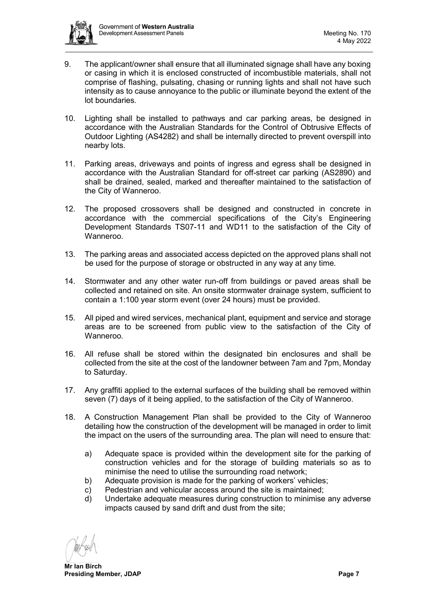

- 9. The applicant/owner shall ensure that all illuminated signage shall have any boxing or casing in which it is enclosed constructed of incombustible materials, shall not comprise of flashing, pulsating, chasing or running lights and shall not have such intensity as to cause annoyance to the public or illuminate beyond the extent of the lot boundaries.
- 10. Lighting shall be installed to pathways and car parking areas, be designed in accordance with the Australian Standards for the Control of Obtrusive Effects of Outdoor Lighting (AS4282) and shall be internally directed to prevent overspill into nearby lots.
- 11. Parking areas, driveways and points of ingress and egress shall be designed in accordance with the Australian Standard for off-street car parking (AS2890) and shall be drained, sealed, marked and thereafter maintained to the satisfaction of the City of Wanneroo.
- 12. The proposed crossovers shall be designed and constructed in concrete in accordance with the commercial specifications of the City's Engineering Development Standards TS07-11 and WD11 to the satisfaction of the City of Wanneroo.
- 13. The parking areas and associated access depicted on the approved plans shall not be used for the purpose of storage or obstructed in any way at any time.
- 14. Stormwater and any other water run-off from buildings or paved areas shall be collected and retained on site. An onsite stormwater drainage system, sufficient to contain a 1:100 year storm event (over 24 hours) must be provided.
- 15. All piped and wired services, mechanical plant, equipment and service and storage areas are to be screened from public view to the satisfaction of the City of Wanneroo.
- 16. All refuse shall be stored within the designated bin enclosures and shall be collected from the site at the cost of the landowner between 7am and 7pm, Monday to Saturday.
- 17. Any graffiti applied to the external surfaces of the building shall be removed within seven (7) days of it being applied, to the satisfaction of the City of Wanneroo.
- 18. A Construction Management Plan shall be provided to the City of Wanneroo detailing how the construction of the development will be managed in order to limit the impact on the users of the surrounding area. The plan will need to ensure that:
	- a) Adequate space is provided within the development site for the parking of construction vehicles and for the storage of building materials so as to minimise the need to utilise the surrounding road network;
	- b) Adequate provision is made for the parking of workers' vehicles;
	- c) Pedestrian and vehicular access around the site is maintained;
	- d) Undertake adequate measures during construction to minimise any adverse impacts caused by sand drift and dust from the site;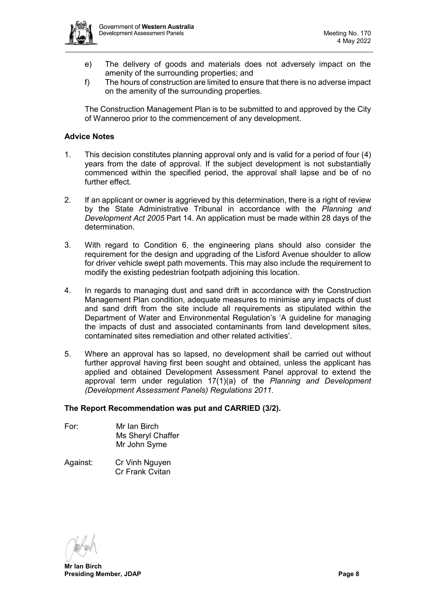

- e) The delivery of goods and materials does not adversely impact on the amenity of the surrounding properties; and
- f) The hours of construction are limited to ensure that there is no adverse impact on the amenity of the surrounding properties.

The Construction Management Plan is to be submitted to and approved by the City of Wanneroo prior to the commencement of any development.

#### **Advice Notes**

- 1. This decision constitutes planning approval only and is valid for a period of four (4) years from the date of approval. If the subject development is not substantially commenced within the specified period, the approval shall lapse and be of no further effect.
- 2. If an applicant or owner is aggrieved by this determination, there is a right of review by the State Administrative Tribunal in accordance with the *Planning and Development Act 2005* Part 14. An application must be made within 28 days of the determination.
- 3. With regard to Condition 6, the engineering plans should also consider the requirement for the design and upgrading of the Lisford Avenue shoulder to allow for driver vehicle swept path movements. This may also include the requirement to modify the existing pedestrian footpath adjoining this location.
- 4. In regards to managing dust and sand drift in accordance with the Construction Management Plan condition, adequate measures to minimise any impacts of dust and sand drift from the site include all requirements as stipulated within the Department of Water and Environmental Regulation's 'A guideline for managing the impacts of dust and associated contaminants from land development sites, contaminated sites remediation and other related activities'.
- 5. Where an approval has so lapsed, no development shall be carried out without further approval having first been sought and obtained, unless the applicant has applied and obtained Development Assessment Panel approval to extend the approval term under regulation 17(1)(a) of the *Planning and Development (Development Assessment Panels) Regulations 2011.*

#### **The Report Recommendation was put and CARRIED (3/2).**

- For: Mr Ian Birch Ms Sheryl Chaffer Mr John Syme
- Against: Cr Vinh Nguyen Cr Frank Cvitan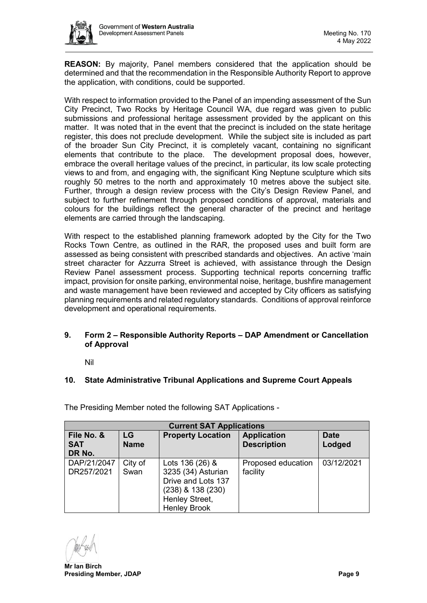

**REASON:** By majority, Panel members considered that the application should be determined and that the recommendation in the Responsible Authority Report to approve the application, with conditions, could be supported.

With respect to information provided to the Panel of an impending assessment of the Sun City Precinct, Two Rocks by Heritage Council WA, due regard was given to public submissions and professional heritage assessment provided by the applicant on this matter. It was noted that in the event that the precinct is included on the state heritage register, this does not preclude development. While the subject site is included as part of the broader Sun City Precinct, it is completely vacant, containing no significant elements that contribute to the place. The development proposal does, however, embrace the overall heritage values of the precinct, in particular, its low scale protecting views to and from, and engaging with, the significant King Neptune sculpture which sits roughly 50 metres to the north and approximately 10 metres above the subject site. Further, through a design review process with the City's Design Review Panel, and subject to further refinement through proposed conditions of approval, materials and colours for the buildings reflect the general character of the precinct and heritage elements are carried through the landscaping.

With respect to the established planning framework adopted by the City for the Two Rocks Town Centre, as outlined in the RAR, the proposed uses and built form are assessed as being consistent with prescribed standards and objectives. An active 'main street character for Azzurra Street is achieved, with assistance through the Design Review Panel assessment process. Supporting technical reports concerning traffic impact, provision for onsite parking, environmental noise, heritage, bushfire management and waste management have been reviewed and accepted by City officers as satisfying planning requirements and related regulatory standards. Conditions of approval reinforce development and operational requirements.

# <span id="page-8-0"></span>**9. Form 2 – Responsible Authority Reports – DAP Amendment or Cancellation of Approval**

Nil

# <span id="page-8-2"></span><span id="page-8-1"></span>**10. State Administrative Tribunal Applications and Supreme Court Appeals**

The Presiding Member noted the following SAT Applications -

| <b>Current SAT Applications</b>    |                   |                                                                                                                           |                                          |                       |  |  |  |  |
|------------------------------------|-------------------|---------------------------------------------------------------------------------------------------------------------------|------------------------------------------|-----------------------|--|--|--|--|
| File No. &<br><b>SAT</b><br>DR No. | LG<br><b>Name</b> | <b>Property Location</b>                                                                                                  | <b>Application</b><br><b>Description</b> | <b>Date</b><br>Lodged |  |  |  |  |
| DAP/21/2047<br>DR257/2021          | City of<br>Swan   | Lots 136 (26) &<br>3235 (34) Asturian<br>Drive and Lots 137<br>(238) & 138 (230)<br>Henley Street,<br><b>Henley Brook</b> | Proposed education<br>facility           | 03/12/2021            |  |  |  |  |